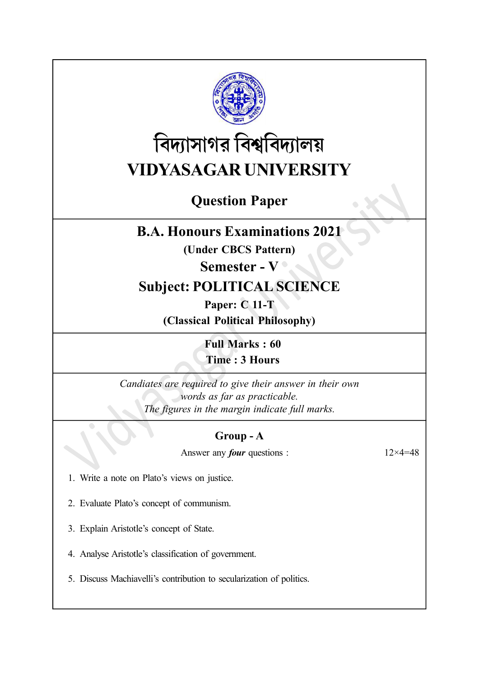

# বিদ্যাসাগর বিশ্ববিদ্যালয় VIDYASAGAR UNIVERSITY

## Question Paper

## B.A. Honours Examinations 2021

(Under CBCS Pattern)

### Semester - V  $\degree$

## Subject: POLITICAL SCIENCE

Paper: C 11-T (Classical Political Philosophy)

> Full Marks : 60 Time : 3 Hours

Candiates are required to give their answer in their own words as far as practicable. The figures in the margin indicate full marks.

#### Group - A

Answer any *four* questions :  $12 \times 4 = 48$ 

1. Write a note on Plato's views on justice.

2. Evaluate Plato's concept of communism.

3. Explain Aristotle's concept of State.

4. Analyse Aristotle's classification of government.

5. Discuss Machiavelli's contribution to secularization of politics.